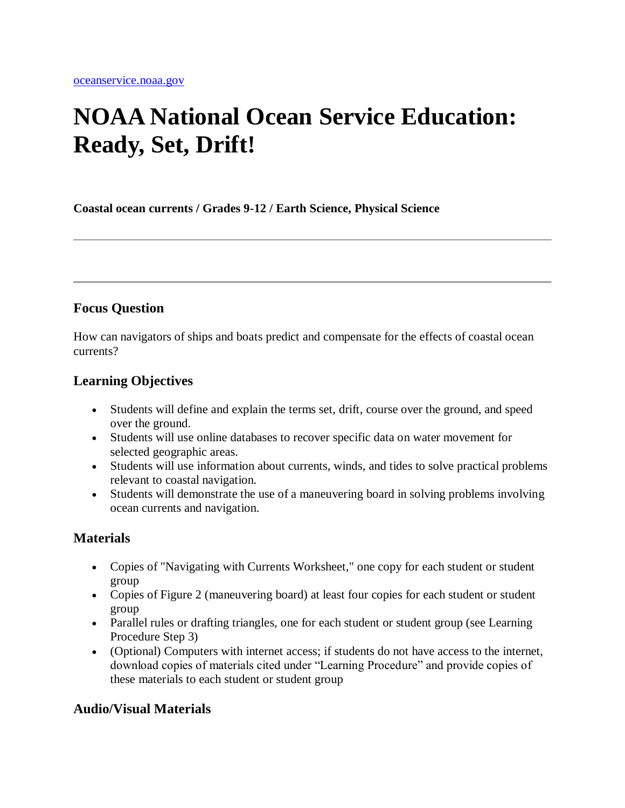# **NOAA National Ocean Service Education: Ready, Set, Drift!**

**Coastal ocean currents / Grades 9-12 / Earth Science, Physical Science**

# **Focus Question**

How can navigators of ships and boats predict and compensate for the effects of coastal ocean currents?

# **Learning Objectives**

- Students will define and explain the terms set, drift, course over the ground, and speed over the ground.
- Students will use online databases to recover specific data on water movement for selected geographic areas.
- Students will use information about currents, winds, and tides to solve practical problems relevant to coastal navigation.
- Students will demonstrate the use of a maneuvering board in solving problems involving ocean currents and navigation.

# **Materials**

- Copies of "Navigating with Currents Worksheet," one copy for each student or student group
- Copies of Figure 2 (maneuvering board) at least four copies for each student or student group
- Parallel rules or drafting triangles, one for each student or student group (see Learning Procedure Step 3)
- (Optional) Computers with internet access; if students do not have access to the internet, download copies of materials cited under "Learning Procedure" and provide copies of these materials to each student or student group

# **Audio/Visual Materials**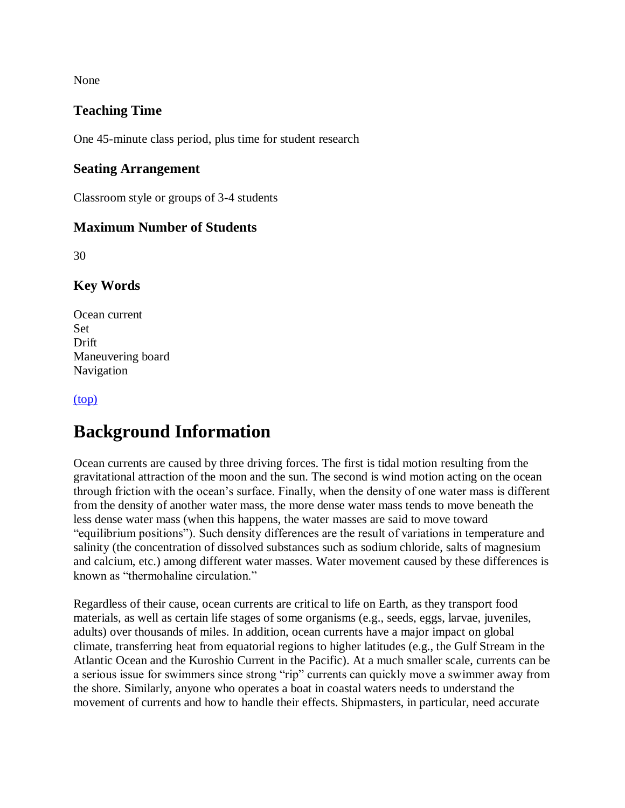None

# **Teaching Time**

One 45-minute class period, plus time for student research

#### **Seating Arrangement**

Classroom style or groups of 3-4 students

### **Maximum Number of Students**

30

# **Key Words**

Ocean current Set Drift Maneuvering board Navigation

[\(top\)](http://oceanservice.noaa.gov/education/lessons/#top)

# **Background Information**

Ocean currents are caused by three driving forces. The first is tidal motion resulting from the gravitational attraction of the moon and the sun. The second is wind motion acting on the ocean through friction with the ocean's surface. Finally, when the density of one water mass is different from the density of another water mass, the more dense water mass tends to move beneath the less dense water mass (when this happens, the water masses are said to move toward "equilibrium positions"). Such density differences are the result of variations in temperature and salinity (the concentration of dissolved substances such as sodium chloride, salts of magnesium and calcium, etc.) among different water masses. Water movement caused by these differences is known as "thermohaline circulation."

Regardless of their cause, ocean currents are critical to life on Earth, as they transport food materials, as well as certain life stages of some organisms (e.g., seeds, eggs, larvae, juveniles, adults) over thousands of miles. In addition, ocean currents have a major impact on global climate, transferring heat from equatorial regions to higher latitudes (e.g., the Gulf Stream in the Atlantic Ocean and the Kuroshio Current in the Pacific). At a much smaller scale, currents can be a serious issue for swimmers since strong "rip" currents can quickly move a swimmer away from the shore. Similarly, anyone who operates a boat in coastal waters needs to understand the movement of currents and how to handle their effects. Shipmasters, in particular, need accurate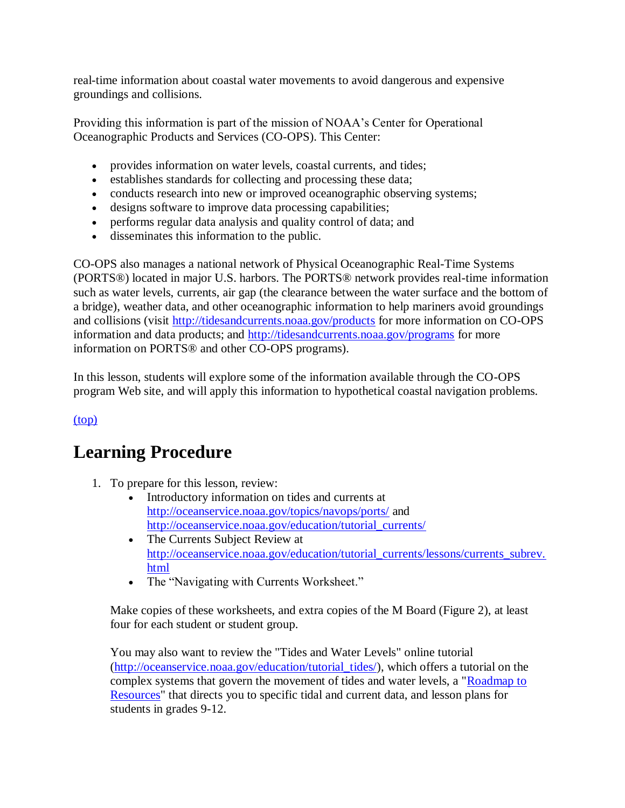real-time information about coastal water movements to avoid dangerous and expensive groundings and collisions.

Providing this information is part of the mission of NOAA's Center for Operational Oceanographic Products and Services (CO-OPS). This Center:

- provides information on water levels, coastal currents, and tides;
- establishes standards for collecting and processing these data;
- conducts research into new or improved oceanographic observing systems;
- designs software to improve data processing capabilities;
- performs regular data analysis and quality control of data; and
- disseminates this information to the public.

CO-OPS also manages a national network of Physical Oceanographic Real-Time Systems (PORTS®) located in major U.S. harbors. The PORTS® network provides real-time information such as water levels, currents, air gap (the clearance between the water surface and the bottom of a bridge), weather data, and other oceanographic information to help mariners avoid groundings and collisions (visit<http://tidesandcurrents.noaa.gov/products> for more information on CO-OPS information and data products; and<http://tidesandcurrents.noaa.gov/programs> for more information on PORTS® and other CO-OPS programs).

In this lesson, students will explore some of the information available through the CO-OPS program Web site, and will apply this information to hypothetical coastal navigation problems.

### [\(top\)](http://oceanservice.noaa.gov/education/lessons/#top)

# **Learning Procedure**

- 1. To prepare for this lesson, review:
	- Introductory information on tides and currents at <http://oceanservice.noaa.gov/topics/navops/ports/> and [http://oceanservice.noaa.gov/education/tutorial\\_currents/](http://oceanservice.noaa.gov/education/tutorial_currents/welcome.html)
	- The Currents Subject Review at [http://oceanservice.noaa.gov/education/tutorial\\_currents/lessons/currents\\_subrev.](http://oceanservice.noaa.gov/education/tutorial_currents/lessons/currents_subrev.html) [html](http://oceanservice.noaa.gov/education/tutorial_currents/lessons/currents_subrev.html)
	- The "Navigating with Currents Worksheet."

Make copies of these worksheets, and extra copies of the M Board (Figure 2), at least four for each student or student group.

You may also want to review the "Tides and Water Levels" online tutorial [\(http://oceanservice.noaa.gov/education/tutorial\\_tides/\)](http://oceanservice.noaa.gov/education/tutorial_tides/welcome.html), which offers a tutorial on the complex systems that govern the movement of tides and water levels, a ["Roadmap to](http://oceanservice.noaa.gov/education/tutorial_tides/supp_tides_roadmap.html)  [Resources"](http://oceanservice.noaa.gov/education/tutorial_tides/supp_tides_roadmap.html) that directs you to specific tidal and current data, and lesson plans for students in grades 9-12.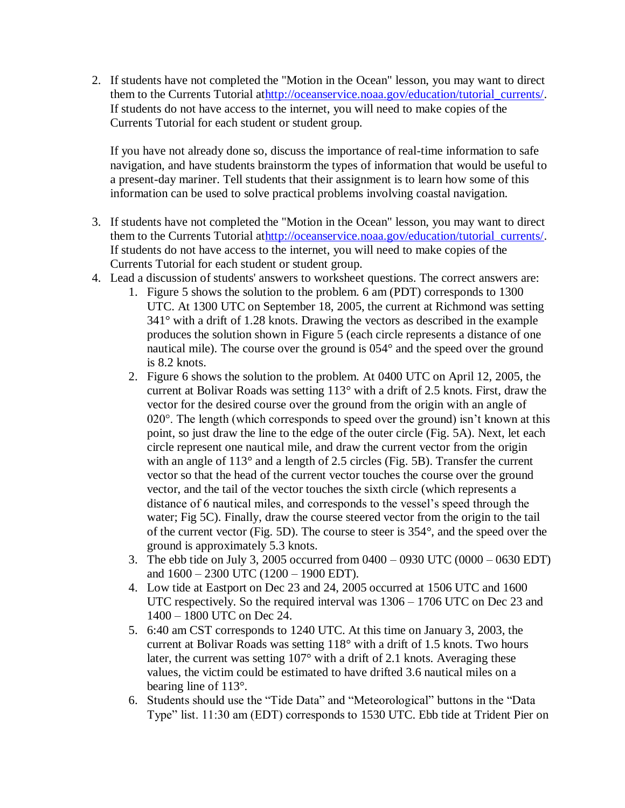2. If students have not completed the "Motion in the Ocean" lesson, you may want to direct them to the Currents Tutorial a[thttp://oceanservice.noaa.gov/education/tutorial\\_currents/.](http://oceanservice.noaa.gov/education/tutorial_currents/welcome.html) If students do not have access to the internet, you will need to make copies of the Currents Tutorial for each student or student group.

If you have not already done so, discuss the importance of real-time information to safe navigation, and have students brainstorm the types of information that would be useful to a present-day mariner. Tell students that their assignment is to learn how some of this information can be used to solve practical problems involving coastal navigation.

- 3. If students have not completed the "Motion in the Ocean" lesson, you may want to direct them to the Currents Tutorial a[thttp://oceanservice.noaa.gov/education/tutorial\\_currents/.](http://oceanservice.noaa.gov/education/tutorial_currents/welcome.html) If students do not have access to the internet, you will need to make copies of the Currents Tutorial for each student or student group.
- 4. Lead a discussion of students' answers to worksheet questions. The correct answers are:
	- 1. Figure 5 shows the solution to the problem. 6 am (PDT) corresponds to 1300 UTC. At 1300 UTC on September 18, 2005, the current at Richmond was setting 341° with a drift of 1.28 knots. Drawing the vectors as described in the example produces the solution shown in Figure 5 (each circle represents a distance of one nautical mile). The course over the ground is 054° and the speed over the ground is 8.2 knots.
	- 2. Figure 6 shows the solution to the problem. At 0400 UTC on April 12, 2005, the current at Bolivar Roads was setting 113° with a drift of 2.5 knots. First, draw the vector for the desired course over the ground from the origin with an angle of 020 $^{\circ}$ . The length (which corresponds to speed over the ground) isn't known at this point, so just draw the line to the edge of the outer circle (Fig. 5A). Next, let each circle represent one nautical mile, and draw the current vector from the origin with an angle of 113° and a length of 2.5 circles (Fig. 5B). Transfer the current vector so that the head of the current vector touches the course over the ground vector, and the tail of the vector touches the sixth circle (which represents a distance of 6 nautical miles, and corresponds to the vessel's speed through the water; Fig 5C). Finally, draw the course steered vector from the origin to the tail of the current vector (Fig. 5D). The course to steer is 354°, and the speed over the ground is approximately 5.3 knots.
	- 3. The ebb tide on July 3, 2005 occurred from 0400 0930 UTC (0000 0630 EDT) and 1600 – 2300 UTC (1200 – 1900 EDT).
	- 4. Low tide at Eastport on Dec 23 and 24, 2005 occurred at 1506 UTC and 1600 UTC respectively. So the required interval was 1306 – 1706 UTC on Dec 23 and 1400 – 1800 UTC on Dec 24.
	- 5. 6:40 am CST corresponds to 1240 UTC. At this time on January 3, 2003, the current at Bolivar Roads was setting 118° with a drift of 1.5 knots. Two hours later, the current was setting 107° with a drift of 2.1 knots. Averaging these values, the victim could be estimated to have drifted 3.6 nautical miles on a bearing line of 113°.
	- 6. Students should use the "Tide Data" and "Meteorological" buttons in the "Data Type" list. 11:30 am (EDT) corresponds to 1530 UTC. Ebb tide at Trident Pier on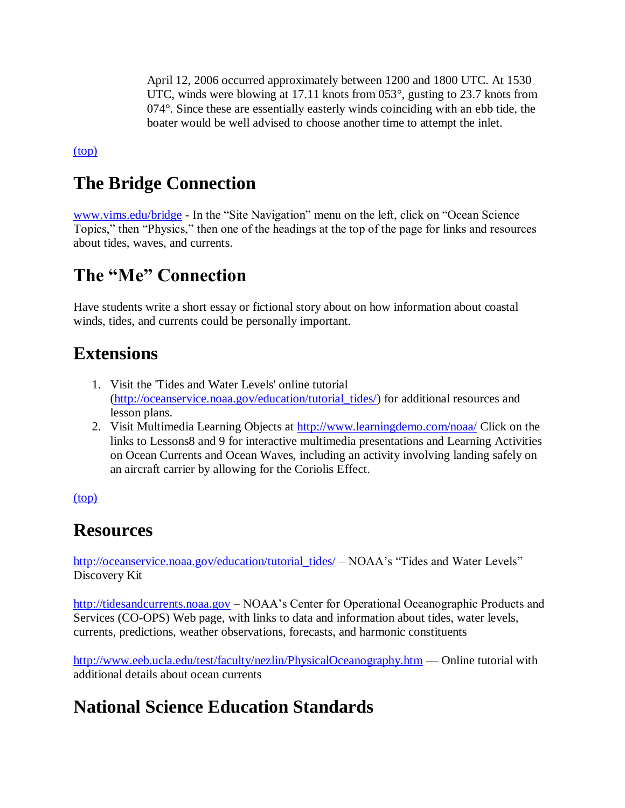April 12, 2006 occurred approximately between 1200 and 1800 UTC. At 1530 UTC, winds were blowing at 17.11 knots from 053°, gusting to 23.7 knots from 074°. Since these are essentially easterly winds coinciding with an ebb tide, the boater would be well advised to choose another time to attempt the inlet.

[\(top\)](http://oceanservice.noaa.gov/education/lessons/#top)

# **The Bridge Connection**

[www.vims.edu/bridge](http://oceanservice.noaa.gov/exit.php?url=http%3A%2F%2Fwww.vims.edu%2Fbridge) - In the "Site Navigation" menu on the left, click on "Ocean Science Topics," then "Physics," then one of the headings at the top of the page for links and resources about tides, waves, and currents.

# **The "Me" Connection**

Have students write a short essay or fictional story about on how information about coastal winds, tides, and currents could be personally important.

# **Extensions**

- 1. Visit the 'Tides and Water Levels' online tutorial [\(http://oceanservice.noaa.gov/education/tutorial\\_tides/\)](http://oceanservice.noaa.gov/education/tutorial_tides/welcome.html) for additional resources and lesson plans.
- 2. Visit Multimedia Learning Objects at [http://www.learningdemo.com/noaa/](http://oceanservice.noaa.gov/exit.php?url=http%3A%2F%2Fwww.learningdemo.com%2Fnoaa%2F) Click on the links to Lessons8 and 9 for interactive multimedia presentations and Learning Activities on Ocean Currents and Ocean Waves, including an activity involving landing safely on an aircraft carrier by allowing for the Coriolis Effect.

[\(top\)](http://oceanservice.noaa.gov/education/lessons/#top)

# **Resources**

[http://oceanservice.noaa.gov/education/tutorial\\_tides/](http://oceanservice.noaa.gov/education/tutorial_tides/welcome.html) – NOAA's "Tides and Water Levels" Discovery Kit

[http://tidesandcurrents.noaa.gov](http://tidesandcurrents.noaa.gov/) – NOAA's Center for Operational Oceanographic Products and Services (CO-OPS) Web page, with links to data and information about tides, water levels, currents, predictions, weather observations, forecasts, and harmonic constituents

[http://www.eeb.ucla.edu/test/faculty/nezlin/PhysicalOceanography.htm](http://oceanservice.noaa.gov/exit.php?url=http%3A%2F%2Fwww.eeb.ucla.edu%2Ftest%2Ffaculty%2Fnezlin%2FPhysicalOceanography.htm) — Online tutorial with additional details about ocean currents

# **National Science Education Standards**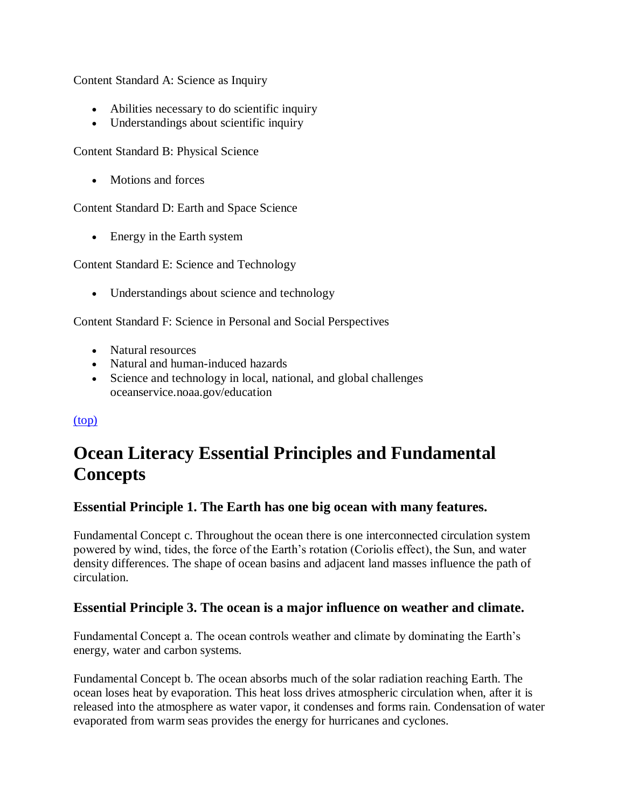Content Standard A: Science as Inquiry

- Abilities necessary to do scientific inquiry
- Understandings about scientific inquiry

Content Standard B: Physical Science

• Motions and forces

Content Standard D: Earth and Space Science

• Energy in the Earth system

Content Standard E: Science and Technology

• Understandings about science and technology

Content Standard F: Science in Personal and Social Perspectives

- Natural resources
- Natural and human-induced hazards
- Science and technology in local, national, and global challenges oceanservice.noaa.gov/education

#### [\(top\)](http://oceanservice.noaa.gov/education/lessons/#top)

# **Ocean Literacy Essential Principles and Fundamental Concepts**

#### **Essential Principle 1. The Earth has one big ocean with many features.**

Fundamental Concept c. Throughout the ocean there is one interconnected circulation system powered by wind, tides, the force of the Earth's rotation (Coriolis effect), the Sun, and water density differences. The shape of ocean basins and adjacent land masses influence the path of circulation.

#### **Essential Principle 3. The ocean is a major influence on weather and climate.**

Fundamental Concept a. The ocean controls weather and climate by dominating the Earth's energy, water and carbon systems.

Fundamental Concept b. The ocean absorbs much of the solar radiation reaching Earth. The ocean loses heat by evaporation. This heat loss drives atmospheric circulation when, after it is released into the atmosphere as water vapor, it condenses and forms rain. Condensation of water evaporated from warm seas provides the energy for hurricanes and cyclones.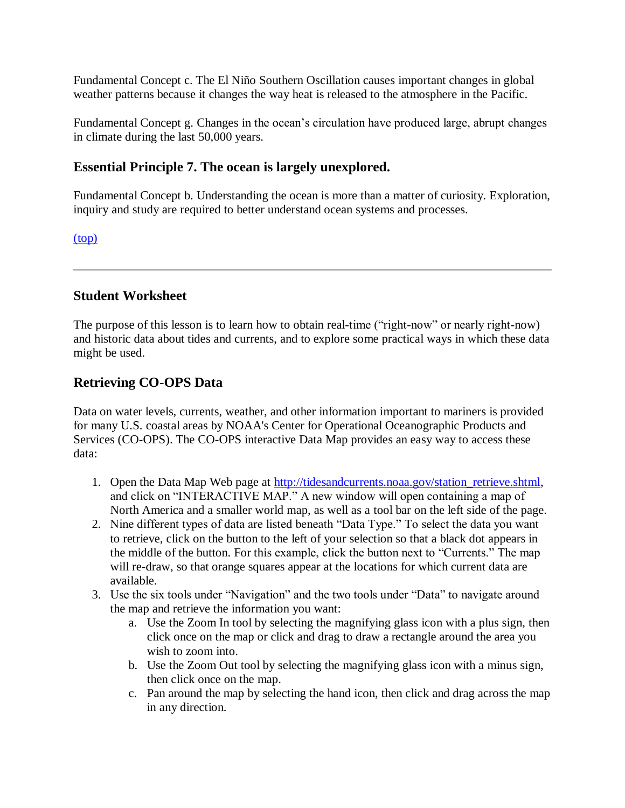Fundamental Concept c. The El Niño Southern Oscillation causes important changes in global weather patterns because it changes the way heat is released to the atmosphere in the Pacific.

Fundamental Concept g. Changes in the ocean's circulation have produced large, abrupt changes in climate during the last 50,000 years.

### **Essential Principle 7. The ocean is largely unexplored.**

Fundamental Concept b. Understanding the ocean is more than a matter of curiosity. Exploration, inquiry and study are required to better understand ocean systems and processes.

[\(top\)](http://oceanservice.noaa.gov/education/lessons/#top)

#### **Student Worksheet**

The purpose of this lesson is to learn how to obtain real-time ("right-now" or nearly right-now) and historic data about tides and currents, and to explore some practical ways in which these data might be used.

### **Retrieving CO-OPS Data**

Data on water levels, currents, weather, and other information important to mariners is provided for many U.S. coastal areas by NOAA's Center for Operational Oceanographic Products and Services (CO-OPS). The CO-OPS interactive Data Map provides an easy way to access these data:

- 1. Open the Data Map Web page at [http://tidesandcurrents.noaa.gov/station\\_retrieve.shtml,](http://tidesandcurrents.noaa.gov/station_retrieve.shtml) and click on "INTERACTIVE MAP." A new window will open containing a map of North America and a smaller world map, as well as a tool bar on the left side of the page.
- 2. Nine different types of data are listed beneath "Data Type." To select the data you want to retrieve, click on the button to the left of your selection so that a black dot appears in the middle of the button. For this example, click the button next to "Currents." The map will re-draw, so that orange squares appear at the locations for which current data are available.
- 3. Use the six tools under "Navigation" and the two tools under "Data" to navigate around the map and retrieve the information you want:
	- a. Use the Zoom In tool by selecting the magnifying glass icon with a plus sign, then click once on the map or click and drag to draw a rectangle around the area you wish to zoom into.
	- b. Use the Zoom Out tool by selecting the magnifying glass icon with a minus sign, then click once on the map.
	- c. Pan around the map by selecting the hand icon, then click and drag across the map in any direction.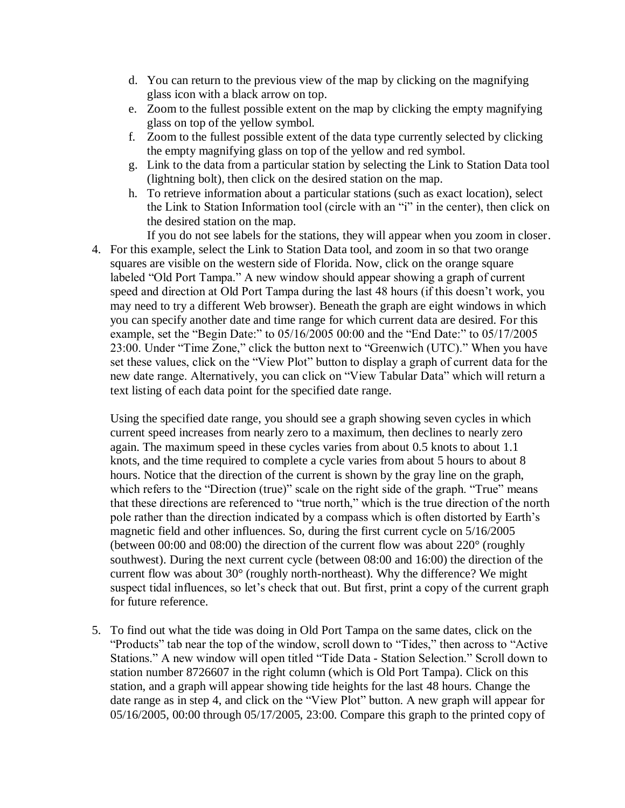- d. You can return to the previous view of the map by clicking on the magnifying glass icon with a black arrow on top.
- e. Zoom to the fullest possible extent on the map by clicking the empty magnifying glass on top of the yellow symbol.
- f. Zoom to the fullest possible extent of the data type currently selected by clicking the empty magnifying glass on top of the yellow and red symbol.
- g. Link to the data from a particular station by selecting the Link to Station Data tool (lightning bolt), then click on the desired station on the map.
- h. To retrieve information about a particular stations (such as exact location), select the Link to Station Information tool (circle with an "i" in the center), then click on the desired station on the map.
- If you do not see labels for the stations, they will appear when you zoom in closer. 4. For this example, select the Link to Station Data tool, and zoom in so that two orange squares are visible on the western side of Florida. Now, click on the orange square labeled "Old Port Tampa." A new window should appear showing a graph of current speed and direction at Old Port Tampa during the last 48 hours (if this doesn't work, you may need to try a different Web browser). Beneath the graph are eight windows in which you can specify another date and time range for which current data are desired. For this example, set the "Begin Date:" to 05/16/2005 00:00 and the "End Date:" to 05/17/2005 23:00. Under "Time Zone," click the button next to "Greenwich (UTC)." When you have set these values, click on the "View Plot" button to display a graph of current data for the new date range. Alternatively, you can click on "View Tabular Data" which will return a text listing of each data point for the specified date range.

Using the specified date range, you should see a graph showing seven cycles in which current speed increases from nearly zero to a maximum, then declines to nearly zero again. The maximum speed in these cycles varies from about 0.5 knots to about 1.1 knots, and the time required to complete a cycle varies from about 5 hours to about 8 hours. Notice that the direction of the current is shown by the gray line on the graph, which refers to the "Direction (true)" scale on the right side of the graph. "True" means that these directions are referenced to "true north," which is the true direction of the north pole rather than the direction indicated by a compass which is often distorted by Earth's magnetic field and other influences. So, during the first current cycle on 5/16/2005 (between 00:00 and 08:00) the direction of the current flow was about 220° (roughly southwest). During the next current cycle (between 08:00 and 16:00) the direction of the current flow was about 30° (roughly north-northeast). Why the difference? We might suspect tidal influences, so let's check that out. But first, print a copy of the current graph for future reference.

5. To find out what the tide was doing in Old Port Tampa on the same dates, click on the "Products" tab near the top of the window, scroll down to "Tides," then across to "Active Stations." A new window will open titled "Tide Data - Station Selection." Scroll down to station number 8726607 in the right column (which is Old Port Tampa). Click on this station, and a graph will appear showing tide heights for the last 48 hours. Change the date range as in step 4, and click on the "View Plot" button. A new graph will appear for 05/16/2005, 00:00 through 05/17/2005, 23:00. Compare this graph to the printed copy of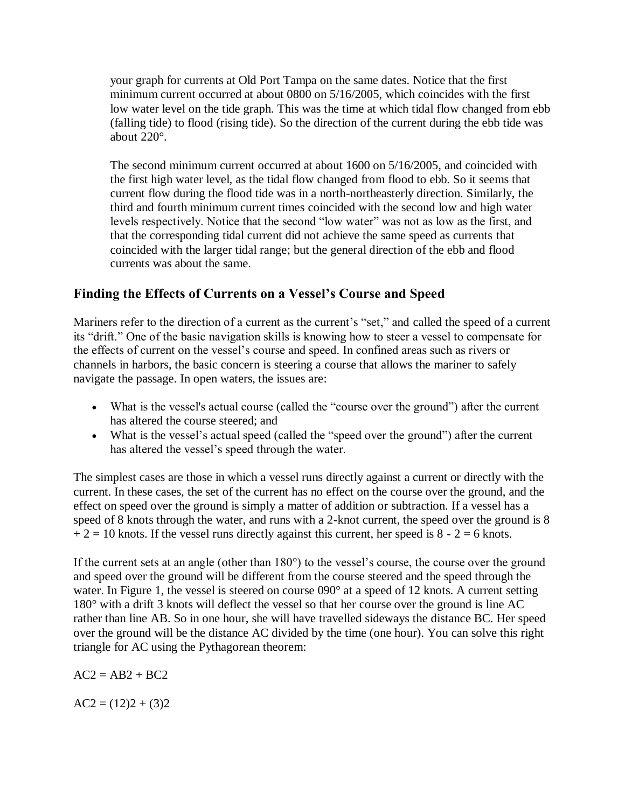your graph for currents at Old Port Tampa on the same dates. Notice that the first minimum current occurred at about 0800 on 5/16/2005, which coincides with the first low water level on the tide graph. This was the time at which tidal flow changed from ebb (falling tide) to flood (rising tide). So the direction of the current during the ebb tide was about 220°.

The second minimum current occurred at about 1600 on 5/16/2005, and coincided with the first high water level, as the tidal flow changed from flood to ebb. So it seems that current flow during the flood tide was in a north-northeasterly direction. Similarly, the third and fourth minimum current times coincided with the second low and high water levels respectively. Notice that the second "low water" was not as low as the first, and that the corresponding tidal current did not achieve the same speed as currents that coincided with the larger tidal range; but the general direction of the ebb and flood currents was about the same.

# **Finding the Effects of Currents on a Vessel's Course and Speed**

Mariners refer to the direction of a current as the current's "set," and called the speed of a current its "drift." One of the basic navigation skills is knowing how to steer a vessel to compensate for the effects of current on the vessel's course and speed. In confined areas such as rivers or channels in harbors, the basic concern is steering a course that allows the mariner to safely navigate the passage. In open waters, the issues are:

- What is the vessel's actual course (called the "course over the ground") after the current has altered the course steered; and
- What is the vessel's actual speed (called the "speed over the ground") after the current has altered the vessel's speed through the water.

The simplest cases are those in which a vessel runs directly against a current or directly with the current. In these cases, the set of the current has no effect on the course over the ground, and the effect on speed over the ground is simply a matter of addition or subtraction. If a vessel has a speed of 8 knots through the water, and runs with a 2-knot current, the speed over the ground is 8  $+ 2 = 10$  knots. If the vessel runs directly against this current, her speed is 8 - 2 = 6 knots.

If the current sets at an angle (other than 180°) to the vessel's course, the course over the ground and speed over the ground will be different from the course steered and the speed through the water. In Figure 1, the vessel is steered on course 090° at a speed of 12 knots. A current setting 180° with a drift 3 knots will deflect the vessel so that her course over the ground is line AC rather than line AB. So in one hour, she will have travelled sideways the distance BC. Her speed over the ground will be the distance AC divided by the time (one hour). You can solve this right triangle for AC using the Pythagorean theorem:

 $AC2 = AB2 + BC2$ 

 $AC2 = (12)2 + (3)2$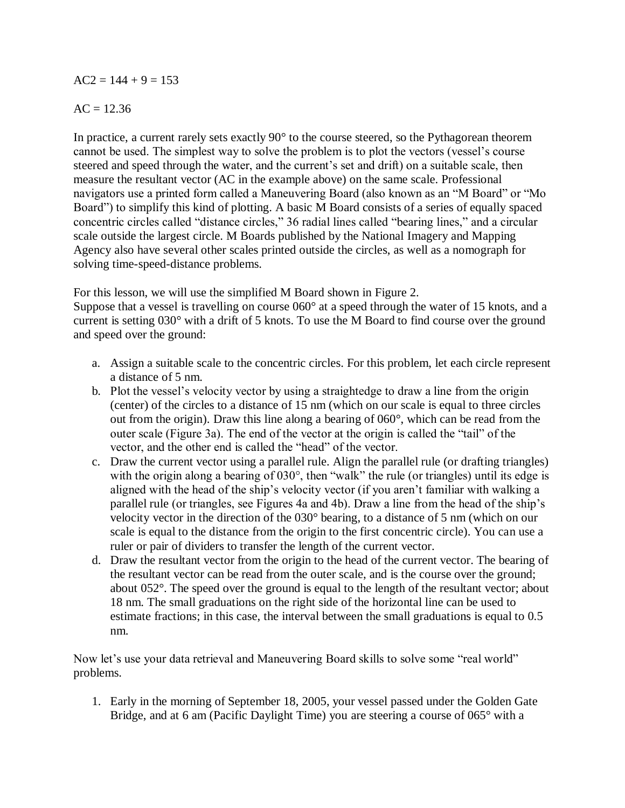#### $AC2 = 144 + 9 = 153$

#### $AC = 12.36$

In practice, a current rarely sets exactly 90° to the course steered, so the Pythagorean theorem cannot be used. The simplest way to solve the problem is to plot the vectors (vessel's course steered and speed through the water, and the current's set and drift) on a suitable scale, then measure the resultant vector (AC in the example above) on the same scale. Professional navigators use a printed form called a Maneuvering Board (also known as an "M Board" or "Mo Board") to simplify this kind of plotting. A basic M Board consists of a series of equally spaced concentric circles called "distance circles," 36 radial lines called "bearing lines," and a circular scale outside the largest circle. M Boards published by the National Imagery and Mapping Agency also have several other scales printed outside the circles, as well as a nomograph for solving time-speed-distance problems.

For this lesson, we will use the simplified M Board shown in Figure 2.

Suppose that a vessel is travelling on course 060° at a speed through the water of 15 knots, and a current is setting 030° with a drift of 5 knots. To use the M Board to find course over the ground and speed over the ground:

- a. Assign a suitable scale to the concentric circles. For this problem, let each circle represent a distance of 5 nm.
- b. Plot the vessel's velocity vector by using a straightedge to draw a line from the origin (center) of the circles to a distance of 15 nm (which on our scale is equal to three circles out from the origin). Draw this line along a bearing of 060°, which can be read from the outer scale (Figure 3a). The end of the vector at the origin is called the "tail" of the vector, and the other end is called the "head" of the vector.
- c. Draw the current vector using a parallel rule. Align the parallel rule (or drafting triangles) with the origin along a bearing of 030°, then "walk" the rule (or triangles) until its edge is aligned with the head of the ship's velocity vector (if you aren't familiar with walking a parallel rule (or triangles, see Figures 4a and 4b). Draw a line from the head of the ship's velocity vector in the direction of the 030° bearing, to a distance of 5 nm (which on our scale is equal to the distance from the origin to the first concentric circle). You can use a ruler or pair of dividers to transfer the length of the current vector.
- d. Draw the resultant vector from the origin to the head of the current vector. The bearing of the resultant vector can be read from the outer scale, and is the course over the ground; about 052°. The speed over the ground is equal to the length of the resultant vector; about 18 nm. The small graduations on the right side of the horizontal line can be used to estimate fractions; in this case, the interval between the small graduations is equal to 0.5 nm.

Now let's use your data retrieval and Maneuvering Board skills to solve some "real world" problems.

1. Early in the morning of September 18, 2005, your vessel passed under the Golden Gate Bridge, and at 6 am (Pacific Daylight Time) you are steering a course of 065° with a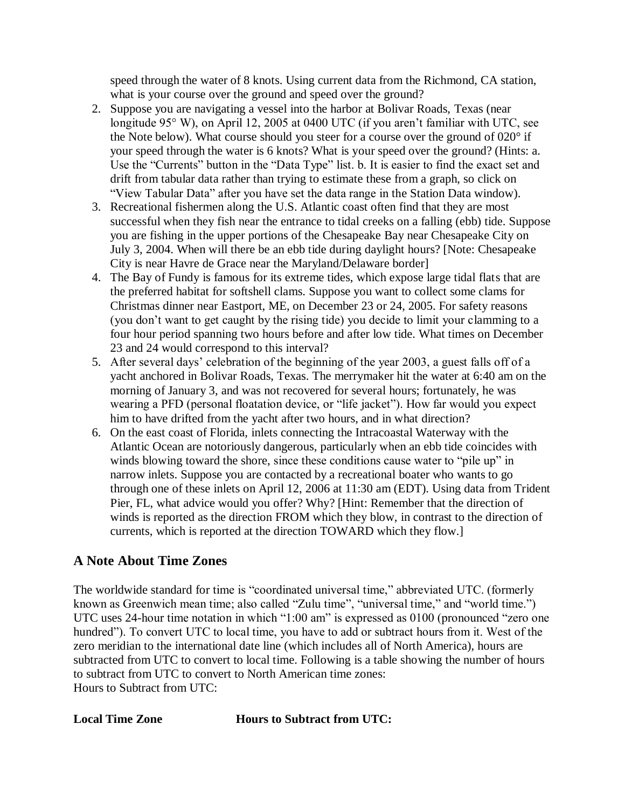speed through the water of 8 knots. Using current data from the Richmond, CA station, what is your course over the ground and speed over the ground?

- 2. Suppose you are navigating a vessel into the harbor at Bolivar Roads, Texas (near longitude 95° W), on April 12, 2005 at 0400 UTC (if you aren't familiar with UTC, see the Note below). What course should you steer for a course over the ground of 020° if your speed through the water is 6 knots? What is your speed over the ground? (Hints: a. Use the "Currents" button in the "Data Type" list. b. It is easier to find the exact set and drift from tabular data rather than trying to estimate these from a graph, so click on "View Tabular Data" after you have set the data range in the Station Data window).
- 3. Recreational fishermen along the U.S. Atlantic coast often find that they are most successful when they fish near the entrance to tidal creeks on a falling (ebb) tide. Suppose you are fishing in the upper portions of the Chesapeake Bay near Chesapeake City on July 3, 2004. When will there be an ebb tide during daylight hours? [Note: Chesapeake City is near Havre de Grace near the Maryland/Delaware border]
- 4. The Bay of Fundy is famous for its extreme tides, which expose large tidal flats that are the preferred habitat for softshell clams. Suppose you want to collect some clams for Christmas dinner near Eastport, ME, on December 23 or 24, 2005. For safety reasons (you don't want to get caught by the rising tide) you decide to limit your clamming to a four hour period spanning two hours before and after low tide. What times on December 23 and 24 would correspond to this interval?
- 5. After several days' celebration of the beginning of the year 2003, a guest falls off of a yacht anchored in Bolivar Roads, Texas. The merrymaker hit the water at 6:40 am on the morning of January 3, and was not recovered for several hours; fortunately, he was wearing a PFD (personal floatation device, or "life jacket"). How far would you expect him to have drifted from the yacht after two hours, and in what direction?
- 6. On the east coast of Florida, inlets connecting the Intracoastal Waterway with the Atlantic Ocean are notoriously dangerous, particularly when an ebb tide coincides with winds blowing toward the shore, since these conditions cause water to "pile up" in narrow inlets. Suppose you are contacted by a recreational boater who wants to go through one of these inlets on April 12, 2006 at 11:30 am (EDT). Using data from Trident Pier, FL, what advice would you offer? Why? [Hint: Remember that the direction of winds is reported as the direction FROM which they blow, in contrast to the direction of currents, which is reported at the direction TOWARD which they flow.]

# **A Note About Time Zones**

The worldwide standard for time is "coordinated universal time," abbreviated UTC. (formerly known as Greenwich mean time; also called "Zulu time", "universal time," and "world time.") UTC uses 24-hour time notation in which "1:00 am" is expressed as 0100 (pronounced "zero one hundred"). To convert UTC to local time, you have to add or subtract hours from it. West of the zero meridian to the international date line (which includes all of North America), hours are subtracted from UTC to convert to local time. Following is a table showing the number of hours to subtract from UTC to convert to North American time zones: Hours to Subtract from UTC:

**Local Time Zone Hours to Subtract from UTC:**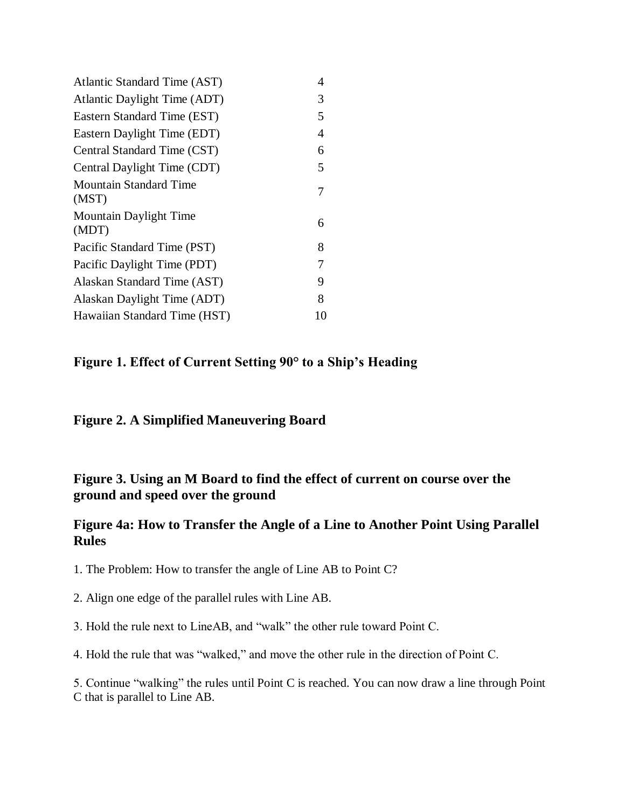| Atlantic Standard Time (AST)           | 4  |
|----------------------------------------|----|
| Atlantic Daylight Time (ADT)           | 3  |
| Eastern Standard Time (EST)            | 5  |
| Eastern Daylight Time (EDT)            | 4  |
| Central Standard Time (CST)            | 6  |
| Central Daylight Time (CDT)            | 5  |
| <b>Mountain Standard Time</b><br>(MST) | 7  |
| <b>Mountain Daylight Time</b><br>(MDT) | 6  |
| Pacific Standard Time (PST)            | 8  |
| Pacific Daylight Time (PDT)            | 7  |
| Alaskan Standard Time (AST)            | 9  |
| Alaskan Daylight Time (ADT)            | 8  |
| Hawaiian Standard Time (HST)           | 10 |

# **Figure 1. Effect of Current Setting 90° to a Ship's Heading**

### **Figure 2. A Simplified Maneuvering Board**

# **Figure 3. Using an M Board to find the effect of current on course over the ground and speed over the ground**

### **Figure 4a: How to Transfer the Angle of a Line to Another Point Using Parallel Rules**

1. The Problem: How to transfer the angle of Line AB to Point C?

- 2. Align one edge of the parallel rules with Line AB.
- 3. Hold the rule next to LineAB, and "walk" the other rule toward Point C.

4. Hold the rule that was "walked," and move the other rule in the direction of Point C.

5. Continue "walking" the rules until Point C is reached. You can now draw a line through Point C that is parallel to Line AB.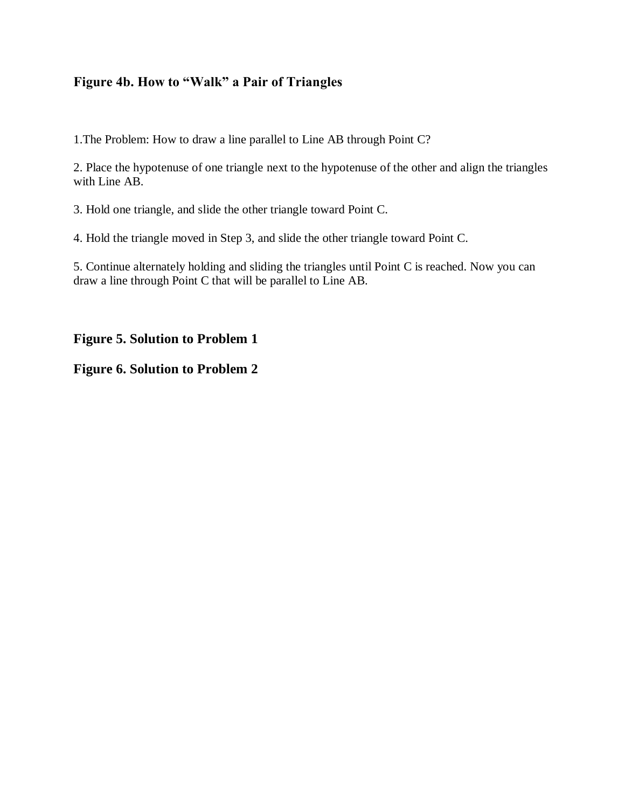# **Figure 4b. How to "Walk" a Pair of Triangles**

1.The Problem: How to draw a line parallel to Line AB through Point C?

2. Place the hypotenuse of one triangle next to the hypotenuse of the other and align the triangles with Line AB.

3. Hold one triangle, and slide the other triangle toward Point C.

4. Hold the triangle moved in Step 3, and slide the other triangle toward Point C.

5. Continue alternately holding and sliding the triangles until Point C is reached. Now you can draw a line through Point C that will be parallel to Line AB.

### **Figure 5. Solution to Problem 1**

#### **Figure 6. Solution to Problem 2**